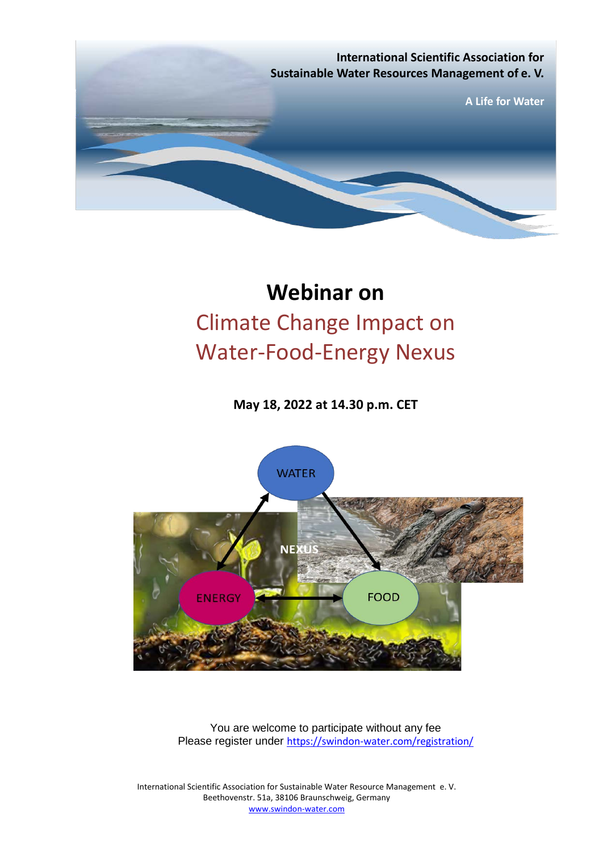

# **Webinar on** Climate Change Impact on Water-Food-Energy Nexus

**May 18, 2022 at 14.30 p.m. CET**



You are welcome to participate without any fee Please register under <https://swindon-water.com/registration/>

International Scientific Association for Sustainable Water Resource Management e. V. Beethovenstr. 51a, 38106 Braunschweig, Germany [www.swindon-water.com](http://www.swindon-water.com/)